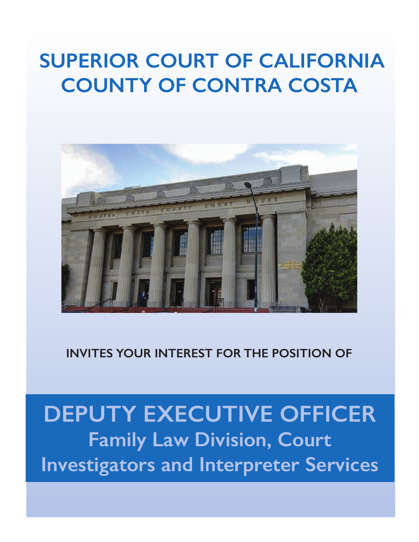# **SUPERIOR COURT OF CALIFORNIA COUNTY OF CONTRA COSTA**



## **INVITES YOUR INTEREST FOR THE POSITION OF**

# **DEPUTY EXECUTIVE OFFICER Family Law Division, Court Investigators and Interpreter Services**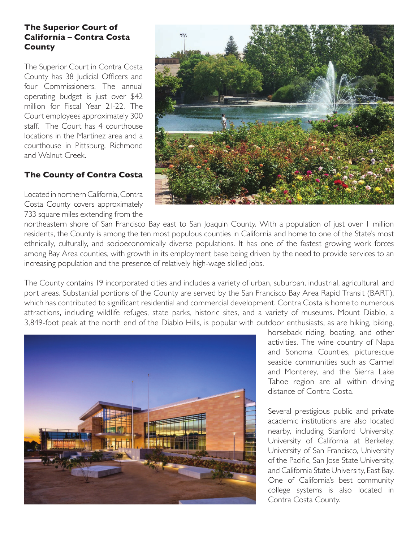#### **The Superior Court of California – Contra Costa County**

The Superior Court in Contra Costa County has 38 Judicial Officers and four Commissioners. The annual operating budget is just over \$42 million for Fiscal Year 21-22. The Court employees approximately 300 staff. The Court has 4 courthouse locations in the Martinez area and a courthouse in Pittsburg, Richmond and Walnut Creek.

#### **The County of Contra Costa**

Located in northern California, Contra Costa County covers approximately 733 square miles extending from the



northeastern shore of San Francisco Bay east to San Joaquin County. With a population of just over 1 million residents, the County is among the ten most populous counties in California and home to one of the State's most ethnically, culturally, and socioeconomically diverse populations. It has one of the fastest growing work forces among Bay Area counties, with growth in its employment base being driven by the need to provide services to an increasing population and the presence of relatively high-wage skilled jobs.

The County contains 19 incorporated cities and includes a variety of urban, suburban, industrial, agricultural, and port areas. Substantial portions of the County are served by the San Francisco Bay Area Rapid Transit (BART), which has contributed to significant residential and commercial development. Contra Costa is home to numerous attractions, including wildlife refuges, state parks, historic sites, and a variety of museums. Mount Diablo, a 3,849-foot peak at the north end of the Diablo Hills, is popular with outdoor enthusiasts, as are hiking, biking,



horseback riding, boating, and other activities. The wine country of Napa and Sonoma Counties, picturesque seaside communities such as Carmel and Monterey, and the Sierra Lake Tahoe region are all within driving distance of Contra Costa.

Several prestigious public and private academic institutions are also located nearby, including Stanford University, University of California at Berkeley, University of San Francisco, University of the Pacific, San Jose State University, and California State University, East Bay. One of California's best community college systems is also located in Contra Costa County.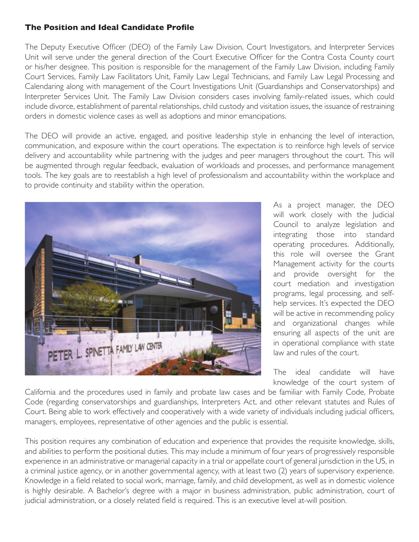#### **The Position and Ideal Candidate Profile**

The Deputy Executive Officer (DEO) of the Family Law Division, Court Investigators, and Interpreter Services Unit will serve under the general direction of the Court Executive Officer for the Contra Costa County court or his/her designee. This position is responsible for the management of the Family Law Division, including Family Court Services, Family Law Facilitators Unit, Family Law Legal Technicians, and Family Law Legal Processing and Calendaring along with management of the Court Investigations Unit (Guardianships and Conservatorships) and Interpreter Services Unit. The Family Law Division considers cases involving family-related issues, which could include divorce, establishment of parental relationships, child custody and visitation issues, the issuance of restraining orders in domestic violence cases as well as adoptions and minor emancipations.

The DEO will provide an active, engaged, and positive leadership style in enhancing the level of interaction, communication, and exposure within the court operations. The expectation is to reinforce high levels of service delivery and accountability while partnering with the judges and peer managers throughout the court. This will be augmented through regular feedback, evaluation of workloads and processes, and performance management tools. The key goals are to reestablish a high level of professionalism and accountability within the workplace and to provide continuity and stability within the operation.



As a project manager, the DEO will work closely with the Judicial Council to analyze legislation and integrating those into standard operating procedures. Additionally, this role will oversee the Grant Management activity for the courts and provide oversight for the court mediation and investigation programs, legal processing, and selfhelp services. It's expected the DEO will be active in recommending policy and organizational changes while ensuring all aspects of the unit are in operational compliance with state law and rules of the court.

The ideal candidate will have knowledge of the court system of

California and the procedures used in family and probate law cases and be familiar with Family Code, Probate Code (regarding conservatorships and guardianships, Interpreters Act, and other relevant statutes and Rules of Court. Being able to work effectively and cooperatively with a wide variety of individuals including judicial officers, managers, employees, representative of other agencies and the public is essential.

This position requires any combination of education and experience that provides the requisite knowledge, skills, and abilities to perform the positional duties. This may include a minimum of four years of progressively responsible experience in an administrative or managerial capacity in a trial or appellate court of general jurisdiction in the US, in a criminal justice agency, or in another governmental agency, with at least two (2) years of supervisory experience. Knowledge in a field related to social work, marriage, family, and child development, as well as in domestic violence is highly desirable. A Bachelor's degree with a major in business administration, public administration, court of judicial administration, or a closely related field is required. This is an executive level at-will position.